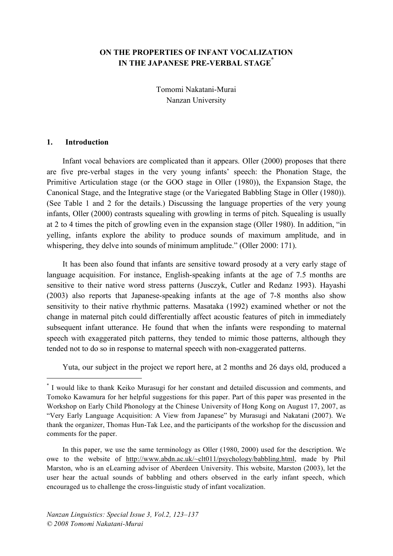# **ON THE PROPERTIES OF INFANT VOCALIZATION IN THE JAPANESE PRE-VERBAL STAGE\***

Tomomi Nakatani-Murai Nanzan University

#### **1. Introduction**

Infant vocal behaviors are complicated than it appears. Oller (2000) proposes that there are five pre-verbal stages in the very young infants' speech: the Phonation Stage, the Primitive Articulation stage (or the GOO stage in Oller (1980)), the Expansion Stage, the Canonical Stage, and the Integrative stage (or the Variegated Babbling Stage in Oller (1980)). (See Table 1 and 2 for the details.) Discussing the language properties of the very young infants, Oller (2000) contrasts squealing with growling in terms of pitch. Squealing is usually at 2 to 4 times the pitch of growling even in the expansion stage (Oller 1980). In addition, "in yelling, infants explore the ability to produce sounds of maximum amplitude, and in whispering, they delve into sounds of minimum amplitude." (Oller 2000: 171).

It has been also found that infants are sensitive toward prosody at a very early stage of language acquisition. For instance, English-speaking infants at the age of 7.5 months are sensitive to their native word stress patterns (Jusczyk, Cutler and Redanz 1993). Hayashi (2003) also reports that Japanese-speaking infants at the age of 7-8 months also show sensitivity to their native rhythmic patterns. Masataka (1992) examined whether or not the change in maternal pitch could differentially affect acoustic features of pitch in immediately subsequent infant utterance. He found that when the infants were responding to maternal speech with exaggerated pitch patterns, they tended to mimic those patterns, although they tended not to do so in response to maternal speech with non-exaggerated patterns.

Yuta, our subject in the project we report here, at 2 months and 26 days old, produced a

In this paper, we use the same terminology as Oller (1980, 2000) used for the description. We owe to the website of http://www.abdn.ac.uk/~clt011/psychology/babbling.html, made by Phil Marston, who is an eLearning advisor of Aberdeen University. This website, Marston (2003), let the user hear the actual sounds of babbling and others observed in the early infant speech, which encouraged us to challenge the cross-linguistic study of infant vocalization.

 <sup>\*</sup> I would like to thank Keiko Murasugi for her constant and detailed discussion and comments, and Tomoko Kawamura for her helpful suggestions for this paper. Part of this paper was presented in the Workshop on Early Child Phonology at the Chinese University of Hong Kong on August 17, 2007, as "Very Early Language Acquisition: A View from Japanese" by Murasugi and Nakatani (2007). We thank the organizer, Thomas Hun-Tak Lee, and the participants of the workshop for the discussion and comments for the paper.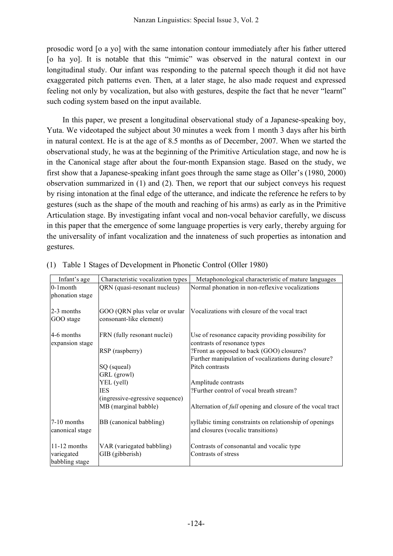prosodic word [o a yo] with the same intonation contour immediately after his father uttered [o ha yo]. It is notable that this "mimic" was observed in the natural context in our longitudinal study. Our infant was responding to the paternal speech though it did not have exaggerated pitch patterns even. Then, at a later stage, he also made request and expressed feeling not only by vocalization, but also with gestures, despite the fact that he never "learnt" such coding system based on the input available.

In this paper, we present a longitudinal observational study of a Japanese-speaking boy, Yuta. We videotaped the subject about 30 minutes a week from 1 month 3 days after his birth in natural context. He is at the age of 8.5 months as of December, 2007. When we started the observational study, he was at the beginning of the Primitive Articulation stage, and now he is in the Canonical stage after about the four-month Expansion stage. Based on the study, we first show that a Japanese-speaking infant goes through the same stage as Oller's (1980, 2000) observation summarized in (1) and (2). Then, we report that our subject conveys his request by rising intonation at the final edge of the utterance, and indicate the reference he refers to by gestures (such as the shape of the mouth and reaching of his arms) as early as in the Primitive Articulation stage. By investigating infant vocal and non-vocal behavior carefully, we discuss in this paper that the emergence of some language properties is very early, thereby arguing for the universality of infant vocalization and the innateness of such properties as intonation and gestures.

| Infant's age                                   | Characteristic vocalization types            | Metaphonological characteristic of mature languages                                           |
|------------------------------------------------|----------------------------------------------|-----------------------------------------------------------------------------------------------|
| $0-1$ month                                    | QRN (quasi-resonant nucleus)                 | Normal phonation in non-reflexive vocalizations                                               |
| phonation stage                                |                                              |                                                                                               |
| $2-3$ months                                   | GOO (QRN plus velar or uvular                | Vocalizations with closure of the vocal tract                                                 |
| GOO stage                                      | consonant-like element)                      |                                                                                               |
| 4-6 months                                     | FRN (fully resonant nuclei)                  | Use of resonance capacity providing possibility for                                           |
| expansion stage                                |                                              | contrasts of resonance types                                                                  |
|                                                | RSP (raspberry)                              | ?Front as opposed to back (GOO) closures?                                                     |
|                                                |                                              | Further manipulation of vocalizations during closure?                                         |
|                                                | SQ (squeal)                                  | Pitch contrasts                                                                               |
|                                                | GRL (growl)                                  |                                                                                               |
|                                                | YEL (yell)                                   | Amplitude contrasts                                                                           |
|                                                | <b>IES</b>                                   | ?Further control of vocal breath stream?                                                      |
|                                                | (ingressive-egressive sequence)              |                                                                                               |
|                                                | MB (marginal babble)                         | Alternation of <i>full</i> opening and closure of the vocal tract                             |
| 7-10 months<br>canonical stage                 | BB (canonical babbling)                      | syllabic timing constraints on relationship of openings<br>and closures (vocalic transitions) |
| $11-12$ months<br>variegated<br>babbling stage | VAR (variegated babbling)<br>GIB (gibberish) | Contrasts of consonantal and vocalic type<br>Contrasts of stress                              |

|  | (1) Table 1 Stages of Development in Phonetic Control (Oller 1980) |  |  |
|--|--------------------------------------------------------------------|--|--|
|  |                                                                    |  |  |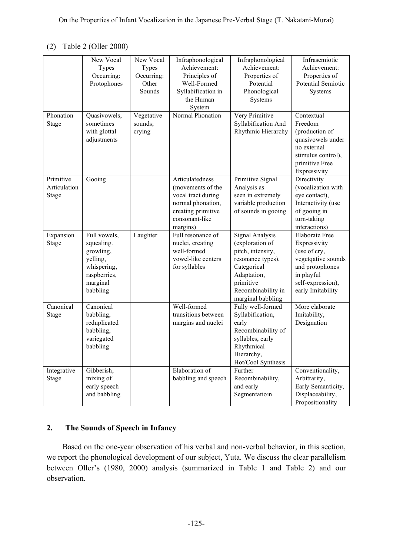# (2) Table 2 (Oller 2000)

| Phonation<br>Stage                                       | New Vocal<br><b>Types</b><br>Occurring:<br>Protophones<br>Quasivowels,<br>sometimes<br>with glottal<br>adjustments | New Vocal<br><b>Types</b><br>Occurring:<br>Other<br>Sounds<br>Vegetative<br>sounds;<br>crying | Infraphonological<br>Achievement:<br>Principles of<br>Well-Formed<br>Syllabification in<br>the Human<br>System<br>Normal Phonation                                                                                                 | Infraphonological<br>Achievement:<br>Properties of<br>Potential<br>Phonological<br>Systems<br>Very Primitive<br>Syllabification And<br>Rhythmic Hierarchy                                         | Infrasemiotic<br>Achievement:<br>Properties of<br>Potential Semiotic<br>Systems<br>Contextual<br>Freedom<br>(production of<br>quasivowels under<br>no external<br>stimulus control),<br>primitive Free<br>Expressivity     |
|----------------------------------------------------------|--------------------------------------------------------------------------------------------------------------------|-----------------------------------------------------------------------------------------------|------------------------------------------------------------------------------------------------------------------------------------------------------------------------------------------------------------------------------------|---------------------------------------------------------------------------------------------------------------------------------------------------------------------------------------------------|----------------------------------------------------------------------------------------------------------------------------------------------------------------------------------------------------------------------------|
| Primitive<br>Articulation<br>Stage<br>Expansion<br>Stage | Gooing<br>Full vowels,<br>squealing.<br>growling,<br>yelling,<br>whispering,                                       | Laughter                                                                                      | Articulatedness<br>(movements of the<br>vocal tract during<br>normal phonation,<br>creating primitive<br>consonant-like<br>margins)<br>Full resonance of<br>nuclei, creating<br>well-formed<br>vowel-like centers<br>for syllables | Primitive Signal<br>Analysis as<br>seen in extremely<br>variable production<br>of sounds in gooing<br>Signal Analysis<br>(exploration of<br>pitch, intensity,<br>resonance types),<br>Categorical | Directivity<br>(vocalization with<br>eye contact),<br>Interactivity (use<br>of gooing in<br>turn-taking<br>interactions)<br><b>Elaborate Free</b><br>Expressivity<br>(use of cry,<br>vegetqative sounds<br>and protophones |
|                                                          | raspberries,<br>marginal<br>babbling                                                                               |                                                                                               |                                                                                                                                                                                                                                    | Adaptation,<br>primitive<br>Recombinability in<br>marginal babbling                                                                                                                               | in playful<br>self-expression),<br>early Imitability                                                                                                                                                                       |
| Canonical<br>Stage                                       | Canonical<br>babbling,<br>reduplicated<br>babbling,<br>variegated<br>babbling                                      |                                                                                               | Well-formed<br>transitions between<br>margins and nuclei                                                                                                                                                                           | Fully well-formed<br>Syllabification,<br>early<br>Recombinability of<br>syllables, early<br>Rhythmical<br>Hierarchy,<br>Hot/Cool Synthesis                                                        | More elaborate<br>Imitability,<br>Designation                                                                                                                                                                              |
| Integrative<br>Stage                                     | Gibberish,<br>mixing of<br>early speech<br>and babbling                                                            |                                                                                               | Elaboration of<br>babbling and speech                                                                                                                                                                                              | Further<br>Recombinability,<br>and early<br>Segmentatioin                                                                                                                                         | Conventionality,<br>Arbitrarity,<br>Early Semanticity,<br>Displaceability,<br>Propositionality                                                                                                                             |

# **2. The Sounds of Speech in Infancy**

Based on the one-year observation of his verbal and non-verbal behavior, in this section, we report the phonological development of our subject, Yuta. We discuss the clear parallelism between Oller's (1980, 2000) analysis (summarized in Table 1 and Table 2) and our observation.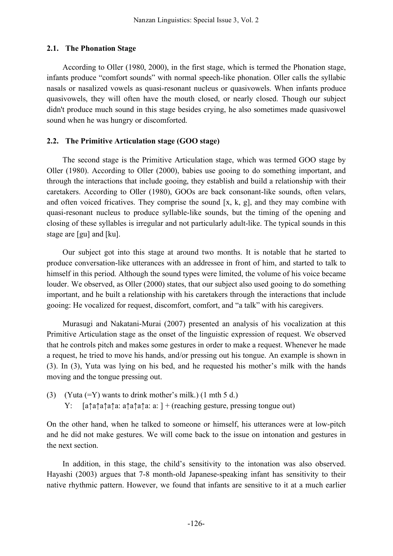## **2.1. The Phonation Stage**

According to Oller (1980, 2000), in the first stage, which is termed the Phonation stage, infants produce "comfort sounds" with normal speech-like phonation. Oller calls the syllabic nasals or nasalized vowels as quasi-resonant nucleus or quasivowels. When infants produce quasivowels, they will often have the mouth closed, or nearly closed. Though our subject didn't produce much sound in this stage besides crying, he also sometimes made quasivowel sound when he was hungry or discomforted.

# **2.2. The Primitive Articulation stage (GOO stage)**

The second stage is the Primitive Articulation stage, which was termed GOO stage by Oller (1980). According to Oller (2000), babies use gooing to do something important, and through the interactions that include gooing, they establish and build a relationship with their caretakers. According to Oller (1980), GOOs are back consonant-like sounds, often velars, and often voiced fricatives. They comprise the sound [x, k, g], and they may combine with quasi-resonant nucleus to produce syllable-like sounds, but the timing of the opening and closing of these syllables is irregular and not particularly adult-like. The typical sounds in this stage are [gu] and [ku].

Our subject got into this stage at around two months. It is notable that he started to produce conversation-like utterances with an addressee in front of him, and started to talk to himself in this period. Although the sound types were limited, the volume of his voice became louder. We observed, as Oller (2000) states, that our subject also used gooing to do something important, and he built a relationship with his caretakers through the interactions that include gooing: He vocalized for request, discomfort, comfort, and "a talk" with his caregivers.

Murasugi and Nakatani-Murai (2007) presented an analysis of his vocalization at this Primitive Articulation stage as the onset of the linguistic expression of request. We observed that he controls pitch and makes some gestures in order to make a request. Whenever he made a request, he tried to move his hands, and/or pressing out his tongue. An example is shown in (3). In (3), Yuta was lying on his bed, and he requested his mother's milk with the hands moving and the tongue pressing out.

(3) (Yuta  $(=Y)$  wants to drink mother's milk.) (1 mth 5 d.) Y: [a↑a↑a↑a↑a: a↑a↑a↑a: a: ] + (reaching gesture, pressing tongue out)

On the other hand, when he talked to someone or himself, his utterances were at low-pitch and he did not make gestures. We will come back to the issue on intonation and gestures in the next section.

In addition, in this stage, the child's sensitivity to the intonation was also observed. Hayashi (2003) argues that 7-8 month-old Japanese-speaking infant has sensitivity to their native rhythmic pattern. However, we found that infants are sensitive to it at a much earlier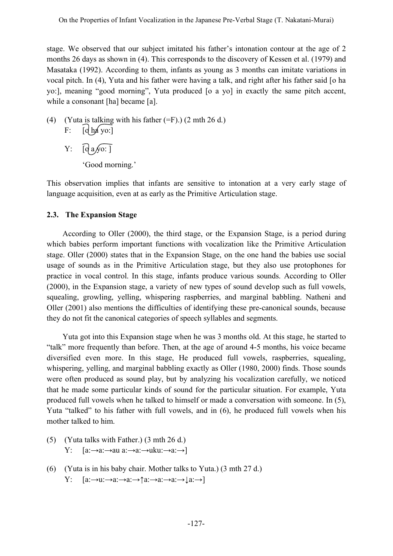stage. We observed that our subject imitated his father's intonation contour at the age of 2 months 26 days as shown in (4). This corresponds to the discovery of Kessen et al. (1979) and Masataka (1992). According to them, infants as young as 3 months can imitate variations in vocal pitch. In (4), Yuta and his father were having a talk, and right after his father said [o ha yo:], meaning "good morning", Yuta produced [o a yo] in exactly the same pitch accent, while a consonant [ha] became [a].

- (4) (Yuta is talking with his father  $(=F)$ .) (2 mth 26 d.) F:  $\lceil \frac{d}{d} \log v \rceil$ 
	- $Y: \quad \boxed{Q \text{ a }y\text{ o: } }$ 'Good morning.'

This observation implies that infants are sensitive to intonation at a very early stage of language acquisition, even at as early as the Primitive Articulation stage.

#### **2.3. The Expansion Stage**

According to Oller (2000), the third stage, or the Expansion Stage, is a period during which babies perform important functions with vocalization like the Primitive Articulation stage. Oller (2000) states that in the Expansion Stage, on the one hand the babies use social usage of sounds as in the Primitive Articulation stage, but they also use protophones for practice in vocal control. In this stage, infants produce various sounds. According to Oller (2000), in the Expansion stage, a variety of new types of sound develop such as full vowels, squealing, growling, yelling, whispering raspberries, and marginal babbling. Natheni and Oller (2001) also mentions the difficulties of identifying these pre-canonical sounds, because they do not fit the canonical categories of speech syllables and segments.

Yuta got into this Expansion stage when he was 3 months old. At this stage, he started to "talk" more frequently than before. Then, at the age of around 4-5 months, his voice became diversified even more. In this stage, He produced full vowels, raspberries, squealing, whispering, yelling, and marginal babbling exactly as Oller (1980, 2000) finds. Those sounds were often produced as sound play, but by analyzing his vocalization carefully, we noticed that he made some particular kinds of sound for the particular situation. For example, Yuta produced full vowels when he talked to himself or made a conversation with someone. In (5), Yuta "talked" to his father with full vowels, and in (6), he produced full vowels when his mother talked to him.

- (5) (Yuta talks with Father.) (3 mth 26 d.) Y: [a:→a:→au a:→a:→uku:→a:→]
- (6) (Yuta is in his baby chair. Mother talks to Yuta.) (3 mth 27 d.)  $Y: [a:\rightarrow u:\rightarrow a:\rightarrow a:\rightarrow \uparrow a:\rightarrow a:\rightarrow a:\rightarrow \downarrow a:\rightarrow]$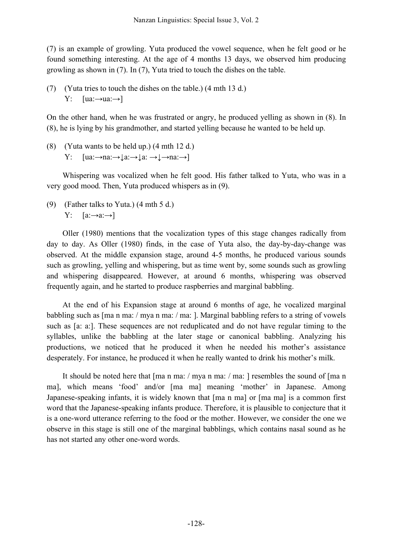(7) is an example of growling. Yuta produced the vowel sequence, when he felt good or he found something interesting. At the age of 4 months 13 days, we observed him producing growling as shown in (7). In (7), Yuta tried to touch the dishes on the table.

(7) (Yuta tries to touch the dishes on the table.) (4 mth 13 d.) Y:  $[ua:\rightarrow ua:\rightarrow]$ 

On the other hand, when he was frustrated or angry, he produced yelling as shown in (8). In (8), he is lying by his grandmother, and started yelling because he wanted to be held up.

(8) (Yuta wants to be held up.) (4 mth 12 d.) Y:  $[ua:\rightarrow na:\rightarrow \downarrow a:\rightarrow \downarrow a:\rightarrow \downarrow \rightarrow na:\rightarrow]$ 

Whispering was vocalized when he felt good. His father talked to Yuta, who was in a very good mood. Then, Yuta produced whispers as in (9).

(9) (Father talks to Yuta.) (4 mth 5 d.) Y:  $[a:\rightarrow a:\rightarrow]$ 

Oller (1980) mentions that the vocalization types of this stage changes radically from day to day. As Oller (1980) finds, in the case of Yuta also, the day-by-day-change was observed. At the middle expansion stage, around 4-5 months, he produced various sounds such as growling, yelling and whispering, but as time went by, some sounds such as growling and whispering disappeared. However, at around 6 months, whispering was observed frequently again, and he started to produce raspberries and marginal babbling.

At the end of his Expansion stage at around 6 months of age, he vocalized marginal babbling such as [ma n ma: / mya n ma: / ma: ]. Marginal babbling refers to a string of vowels such as [a: a:]. These sequences are not reduplicated and do not have regular timing to the syllables, unlike the babbling at the later stage or canonical babbling. Analyzing his productions, we noticed that he produced it when he needed his mother's assistance desperately. For instance, he produced it when he really wanted to drink his mother's milk.

It should be noted here that [ma n ma: / mya n ma: / ma: ] resembles the sound of [ma n ma], which means 'food' and/or [ma ma] meaning 'mother' in Japanese. Among Japanese-speaking infants, it is widely known that [ma n ma] or [ma ma] is a common first word that the Japanese-speaking infants produce. Therefore, it is plausible to conjecture that it is a one-word utterance referring to the food or the mother. However, we consider the one we observe in this stage is still one of the marginal babblings, which contains nasal sound as he has not started any other one-word words.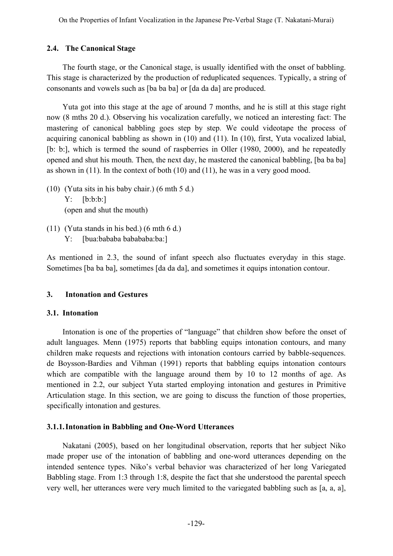## **2.4. The Canonical Stage**

The fourth stage, or the Canonical stage, is usually identified with the onset of babbling. This stage is characterized by the production of reduplicated sequences. Typically, a string of consonants and vowels such as [ba ba ba] or [da da da] are produced.

Yuta got into this stage at the age of around 7 months, and he is still at this stage right now (8 mths 20 d.). Observing his vocalization carefully, we noticed an interesting fact: The mastering of canonical babbling goes step by step. We could videotape the process of acquiring canonical babbling as shown in (10) and (11). In (10), first, Yuta vocalized labial, [b: b:], which is termed the sound of raspberries in Oller (1980, 2000), and he repeatedly opened and shut his mouth. Then, the next day, he mastered the canonical babbling, [ba ba ba] as shown in (11). In the context of both (10) and (11), he was in a very good mood.

- (10) (Yuta sits in his baby chair.) (6 mth 5 d.) Y: [b:b:b:] (open and shut the mouth)
- (11) (Yuta stands in his bed.) (6 mth 6 d.) Y: [bua:bababa babababa:ba:]

As mentioned in 2.3, the sound of infant speech also fluctuates everyday in this stage. Sometimes [ba ba ba], sometimes [da da da], and sometimes it equips intonation contour.

## **3. Intonation and Gestures**

## **3.1. Intonation**

Intonation is one of the properties of "language" that children show before the onset of adult languages. Menn (1975) reports that babbling equips intonation contours, and many children make requests and rejections with intonation contours carried by babble-sequences. de Boysson-Bardies and Vihman (1991) reports that babbling equips intonation contours which are compatible with the language around them by 10 to 12 months of age. As mentioned in 2.2, our subject Yuta started employing intonation and gestures in Primitive Articulation stage. In this section, we are going to discuss the function of those properties, specifically intonation and gestures.

## **3.1.1.Intonation in Babbling and One-Word Utterances**

Nakatani (2005), based on her longitudinal observation, reports that her subject Niko made proper use of the intonation of babbling and one-word utterances depending on the intended sentence types. Niko's verbal behavior was characterized of her long Variegated Babbling stage. From 1:3 through 1:8, despite the fact that she understood the parental speech very well, her utterances were very much limited to the variegated babbling such as [a, a, a],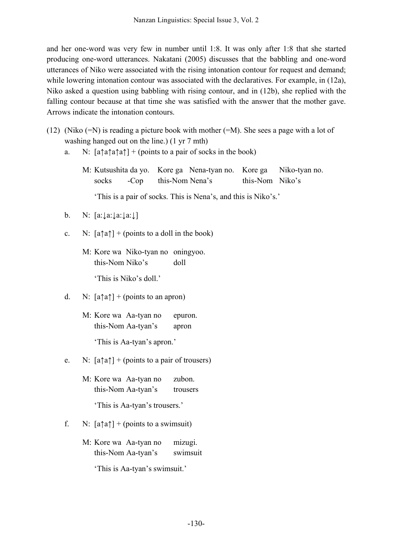and her one-word was very few in number until 1:8. It was only after 1:8 that she started producing one-word utterances. Nakatani (2005) discusses that the babbling and one-word utterances of Niko were associated with the rising intonation contour for request and demand; while lowering intonation contour was associated with the declaratives. For example, in (12a), Niko asked a question using babbling with rising contour, and in (12b), she replied with the falling contour because at that time she was satisfied with the answer that the mother gave. Arrows indicate the intonation contours.

- (12) (Niko (=N) is reading a picture book with mother (=M). She sees a page with a lot of washing hanged out on the line.) (1 yr 7 mth)
	- a. N:  $[a \uparrow a \uparrow a]$  + (points to a pair of socks in the book)
		- M: Kutsushita da yo. Kore ga Nena-tyan no. Kore ga Niko-tyan no. socks -Cop this-Nom Nena's this-Nom Niko's

'This is a pair of socks. This is Nena's, and this is Niko's.'

- b. N: [a:↓a:↓a:↓a:↓]
- c. N:  $[a \uparrow a] + (points to a dollar in the book)$ 
	- M: Kore wa Niko-tyan no oningyoo. this-Nom Niko's doll

'This is Niko's doll.'

- d. N:  $[a \uparrow a]$  + (points to an apron)
	- M: Kore wa Aa-tyan no epuron. this-Nom Aa-tyan's apron 'This is Aa-tyan's apron.'
- e. N:  $[a \uparrow a] + (points to a pair of two terms)$ 
	- M: Kore wa Aa-tyan no zubon. this-Nom Aa-tyan's trousers 'This is Aa-tyan's trousers.'
	-
- f. N:  $[a \uparrow a] + (points to a swimsuit)$ 
	- M: Kore wa Aa-tyan no mizugi. this-Nom Aa-tyan's swimsuit

'This is Aa-tyan's swimsuit.'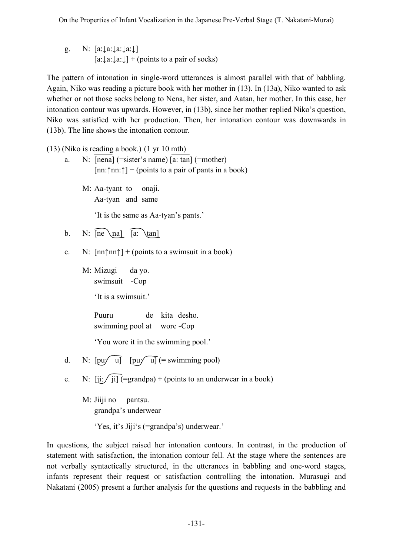g. N: [a:↓a:↓a:↓a:↓]  $[a:\downarrow a:\downarrow a:\downarrow]$  + (points to a pair of socks)

The pattern of intonation in single-word utterances is almost parallel with that of babbling. Again, Niko was reading a picture book with her mother in (13). In (13a), Niko wanted to ask whether or not those socks belong to Nena, her sister, and Aatan, her mother. In this case, her intonation contour was upwards. However, in (13b), since her mother replied Niko's question, Niko was satisfied with her production. Then, her intonation contour was downwards in (13b). The line shows the intonation contour.

(13) (Niko is reading a book.) (1 yr 10 mth)

a. N: [nena] (=sister's name) [a: tan] (=mother)  $[nn:\uparrow]$  + (points to a pair of pants in a book)

M: Aa-tyant to onaji. Aa-tyan and same 'It is the same as Aa-tyan's pants.'

b. N:  $\widehat{[ne\$ \na]  $\widehat{[a:\ \}$ tan]

- c. N:  $[nn\uparrow n\uparrow] + (points to a swimsuit in a book)$ 
	- M: Mizugi da yo. swimsuit -Cop

'It is a swimsuit.'

Puuru de kita desho. swimming pool at wore -Cop

'You wore it in the swimming pool.'

- d. N:  $[pu\sqrt{ul}]$   $[pu\sqrt{ul}]$  (= swimming pool)
- e. N:  $[ii: /ii]$  (=grandpa) + (points to an underwear in a book)
	- M: Jiiji no pantsu. grandpa's underwear

'Yes, it's Jiji's (=grandpa's) underwear.'

In questions, the subject raised her intonation contours. In contrast, in the production of statement with satisfaction, the intonation contour fell. At the stage where the sentences are not verbally syntactically structured, in the utterances in babbling and one-word stages, infants represent their request or satisfaction controlling the intonation. Murasugi and Nakatani (2005) present a further analysis for the questions and requests in the babbling and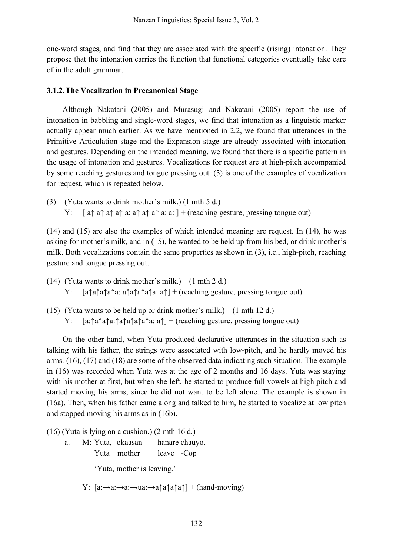one-word stages, and find that they are associated with the specific (rising) intonation. They propose that the intonation carries the function that functional categories eventually take care of in the adult grammar.

## **3.1.2.The Vocalization in Precanonical Stage**

Although Nakatani (2005) and Murasugi and Nakatani (2005) report the use of intonation in babbling and single-word stages, we find that intonation as a linguistic marker actually appear much earlier. As we have mentioned in 2.2, we found that utterances in the Primitive Articulation stage and the Expansion stage are already associated with intonation and gestures. Depending on the intended meaning, we found that there is a specific pattern in the usage of intonation and gestures. Vocalizations for request are at high-pitch accompanied by some reaching gestures and tongue pressing out. (3) is one of the examples of vocalization for request, which is repeated below.

(3) (Yuta wants to drink mother's milk.) (1 mth 5 d.) Y: [ a↑ a↑ a↑ a↑ a: a↑ a↑ a↑ a: a: ] + (reaching gesture, pressing tongue out)

(14) and (15) are also the examples of which intended meaning are request. In (14), he was asking for mother's milk, and in (15), he wanted to be held up from his bed, or drink mother's milk. Both vocalizations contain the same properties as shown in (3), i.e., high-pitch, reaching gesture and tongue pressing out.

- (14) (Yuta wants to drink mother's milk.) (1 mth 2 d.) Y: [a↑a↑a↑a↑a: a↑a↑a↑a↑a: a↑] + (reaching gesture, pressing tongue out)
- (15) (Yuta wants to be held up or drink mother's milk.) (1 mth 12 d.) Y: [a:↑a↑a↑a:↑a↑a↑a↑a↑a: a↑] + (reaching gesture, pressing tongue out)

On the other hand, when Yuta produced declarative utterances in the situation such as talking with his father, the strings were associated with low-pitch, and he hardly moved his arms. (16), (17) and (18) are some of the observed data indicating such situation. The example in (16) was recorded when Yuta was at the age of 2 months and 16 days. Yuta was staying with his mother at first, but when she left, he started to produce full vowels at high pitch and started moving his arms, since he did not want to be left alone. The example is shown in (16a). Then, when his father came along and talked to him, he started to vocalize at low pitch and stopped moving his arms as in (16b).

(16) (Yuta is lying on a cushion.) (2 mth 16 d.)

a. M: Yuta, okaasan hanare chauyo. Yuta mother leave -Cop 'Yuta, mother is leaving.'

Y:  $[a:\rightarrow a:\rightarrow a:\rightarrow aa:\rightarrow a\uparrow a\uparrow a\uparrow a\uparrow a] + (hand-moving)$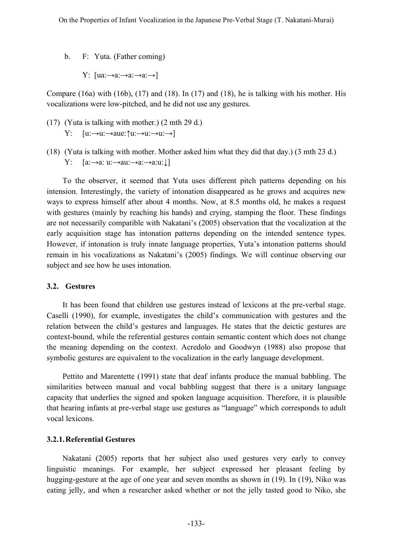- b. F: Yuta. (Father coming)
	- Y:  $[ua:→a:→a:→a:→a]$

Compare (16a) with (16b), (17) and (18). In (17) and (18), he is talking with his mother. His vocalizations were low-pitched, and he did not use any gestures.

- (17) (Yuta is talking with mother.) (2 mth 29 d.)  $Y: [u:\rightarrow u:\rightarrow aue:\uparrow u:\rightarrow u:\rightarrow u:\rightarrow I]$
- (18) (Yuta is talking with mother. Mother asked him what they did that day.) (3 mth 23 d.) Y:  $[a:\rightarrow a: u:\rightarrow au:\rightarrow a:\rightarrow a:u:\downarrow]$

To the observer, it seemed that Yuta uses different pitch patterns depending on his intension. Interestingly, the variety of intonation disappeared as he grows and acquires new ways to express himself after about 4 months. Now, at 8.5 months old, he makes a request with gestures (mainly by reaching his hands) and crying, stamping the floor. These findings are not necessarily compatible with Nakatani's (2005) observation that the vocalization at the early acquisition stage has intonation patterns depending on the intended sentence types. However, if intonation is truly innate language properties, Yuta's intonation patterns should remain in his vocalizations as Nakatani's (2005) findings. We will continue observing our subject and see how he uses intonation.

## **3.2. Gestures**

It has been found that children use gestures instead of lexicons at the pre-verbal stage. Caselli (1990), for example, investigates the child's communication with gestures and the relation between the child's gestures and languages. He states that the deictic gestures are context-bound, while the referential gestures contain semantic content which does not change the meaning depending on the context. Acredolo and Goodwyn (1988) also propose that symbolic gestures are equivalent to the vocalization in the early language development.

Pettito and Marentette (1991) state that deaf infants produce the manual babbling. The similarities between manual and vocal babbling suggest that there is a unitary language capacity that underlies the signed and spoken language acquisition. Therefore, it is plausible that hearing infants at pre-verbal stage use gestures as "language" which corresponds to adult vocal lexicons.

# **3.2.1.Referential Gestures**

Nakatani (2005) reports that her subject also used gestures very early to convey linguistic meanings. For example, her subject expressed her pleasant feeling by hugging-gesture at the age of one year and seven months as shown in (19). In (19), Niko was eating jelly, and when a researcher asked whether or not the jelly tasted good to Niko, she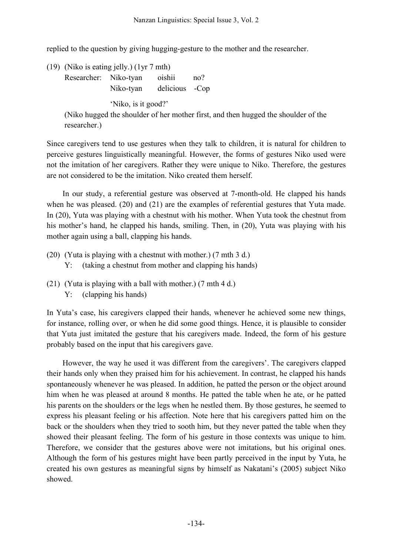replied to the question by giving hugging-gesture to the mother and the researcher.

(19) (Niko is eating jelly.) (1yr 7 mth)

Researcher: Niko-tyan oishii no? Niko-tyan delicious -Cop

'Niko, is it good?'

(Niko hugged the shoulder of her mother first, and then hugged the shoulder of the researcher.)

Since caregivers tend to use gestures when they talk to children, it is natural for children to perceive gestures linguistically meaningful. However, the forms of gestures Niko used were not the imitation of her caregivers. Rather they were unique to Niko. Therefore, the gestures are not considered to be the imitation. Niko created them herself.

In our study, a referential gesture was observed at 7-month-old. He clapped his hands when he was pleased. (20) and (21) are the examples of referential gestures that Yuta made. In (20), Yuta was playing with a chestnut with his mother. When Yuta took the chestnut from his mother's hand, he clapped his hands, smiling. Then, in (20), Yuta was playing with his mother again using a ball, clapping his hands.

- (20) (Yuta is playing with a chestnut with mother.) (7 mth 3 d.)
	- Y: (taking a chestnut from mother and clapping his hands)
- (21) (Yuta is playing with a ball with mother.) (7 mth 4 d.) Y: (clapping his hands)

In Yuta's case, his caregivers clapped their hands, whenever he achieved some new things, for instance, rolling over, or when he did some good things. Hence, it is plausible to consider that Yuta just imitated the gesture that his caregivers made. Indeed, the form of his gesture probably based on the input that his caregivers gave.

However, the way he used it was different from the caregivers'. The caregivers clapped their hands only when they praised him for his achievement. In contrast, he clapped his hands spontaneously whenever he was pleased. In addition, he patted the person or the object around him when he was pleased at around 8 months. He patted the table when he ate, or he patted his parents on the shoulders or the legs when he nestled them. By those gestures, he seemed to express his pleasant feeling or his affection. Note here that his caregivers patted him on the back or the shoulders when they tried to sooth him, but they never patted the table when they showed their pleasant feeling. The form of his gesture in those contexts was unique to him. Therefore, we consider that the gestures above were not imitations, but his original ones. Although the form of his gestures might have been partly perceived in the input by Yuta, he created his own gestures as meaningful signs by himself as Nakatani's (2005) subject Niko showed.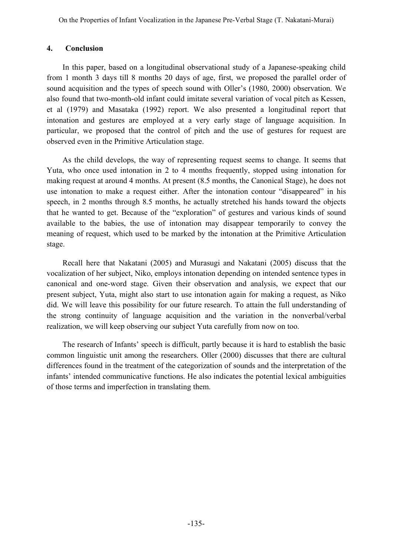#### **4. Conclusion**

In this paper, based on a longitudinal observational study of a Japanese-speaking child from 1 month 3 days till 8 months 20 days of age, first, we proposed the parallel order of sound acquisition and the types of speech sound with Oller's (1980, 2000) observation. We also found that two-month-old infant could imitate several variation of vocal pitch as Kessen, et al (1979) and Masataka (1992) report. We also presented a longitudinal report that intonation and gestures are employed at a very early stage of language acquisition. In particular, we proposed that the control of pitch and the use of gestures for request are observed even in the Primitive Articulation stage.

As the child develops, the way of representing request seems to change. It seems that Yuta, who once used intonation in 2 to 4 months frequently, stopped using intonation for making request at around 4 months. At present (8.5 months, the Canonical Stage), he does not use intonation to make a request either. After the intonation contour "disappeared" in his speech, in 2 months through 8.5 months, he actually stretched his hands toward the objects that he wanted to get. Because of the "exploration" of gestures and various kinds of sound available to the babies, the use of intonation may disappear temporarily to convey the meaning of request, which used to be marked by the intonation at the Primitive Articulation stage.

Recall here that Nakatani (2005) and Murasugi and Nakatani (2005) discuss that the vocalization of her subject, Niko, employs intonation depending on intended sentence types in canonical and one-word stage. Given their observation and analysis, we expect that our present subject, Yuta, might also start to use intonation again for making a request, as Niko did. We will leave this possibility for our future research. To attain the full understanding of the strong continuity of language acquisition and the variation in the nonverbal/verbal realization, we will keep observing our subject Yuta carefully from now on too.

The research of Infants' speech is difficult, partly because it is hard to establish the basic common linguistic unit among the researchers. Oller (2000) discusses that there are cultural differences found in the treatment of the categorization of sounds and the interpretation of the infants' intended communicative functions. He also indicates the potential lexical ambiguities of those terms and imperfection in translating them.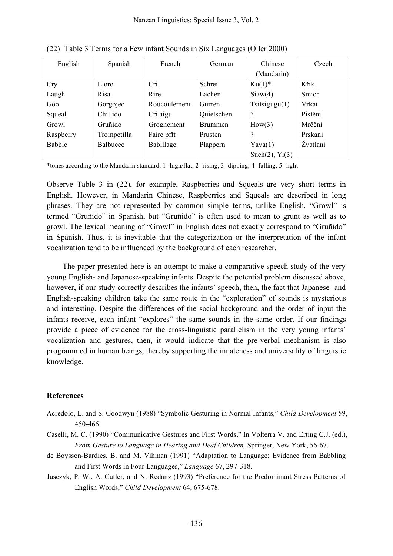| English    | Spanish         | French       | German         | Chinese                   | Czech    |
|------------|-----------------|--------------|----------------|---------------------------|----------|
|            |                 |              |                | (Mandarin)                |          |
| <b>Cry</b> | Lloro           | Cri          | Schrei         | $Ku(1)^*$                 | Křik     |
| Laugh      | Risa            | Rire         | Lachen         | Siaw(4)                   | Smich    |
| Goo        | Gorgojeo        | Roucoulement | Gurren         | $T_{\text{sitsigugu}(1)}$ | Vrkat    |
| Squeal     | Chillido        | Cri aigu     | Quietschen     | 9                         | Pistěni  |
| Growl      | Gruñido         | Grognement   | <b>Brummen</b> | How(3)                    | Mrčěni   |
| Raspberry  | Trompetilla     | Faire pfft   | Prusten        | $\gamma$                  | Prskani  |
| Babble     | <b>Balbuceo</b> | Babillage    | Plappern       | Yaya(1)                   | Žvatlani |
|            |                 |              |                | Sueh $(2)$ , Yi $(3)$     |          |

(22) Table 3 Terms for a Few infant Sounds in Six Languages (Oller 2000)

\*tones according to the Mandarin standard: 1=high/flat, 2=rising, 3=dipping, 4=falling, 5=light

Observe Table 3 in (22), for example, Raspberries and Squeals are very short terms in English. However, in Mandarin Chinese, Raspberries and Squeals are described in long phrases. They are not represented by common simple terms, unlike English. "Growl" is termed "Gruñido" in Spanish, but "Gruñido" is often used to mean to grunt as well as to growl. The lexical meaning of "Growl" in English does not exactly correspond to "Gruñido" in Spanish. Thus, it is inevitable that the categorization or the interpretation of the infant vocalization tend to be influenced by the background of each researcher.

The paper presented here is an attempt to make a comparative speech study of the very young English- and Japanese-speaking infants. Despite the potential problem discussed above, however, if our study correctly describes the infants' speech, then, the fact that Japanese- and English-speaking children take the same route in the "exploration" of sounds is mysterious and interesting. Despite the differences of the social background and the order of input the infants receive, each infant "explores" the same sounds in the same order. If our findings provide a piece of evidence for the cross-linguistic parallelism in the very young infants' vocalization and gestures, then, it would indicate that the pre-verbal mechanism is also programmed in human beings, thereby supporting the innateness and universality of linguistic knowledge.

## **References**

- Acredolo, L. and S. Goodwyn (1988) "Symbolic Gesturing in Normal Infants," *Child Development* 59, 450-466.
- Caselli, M. C. (1990) "Communicative Gestures and First Words," In Volterra V. and Erting C.J. (ed.), *From Gesture to Language in Hearing and Deaf Children,* Springer, New York, 56-67.
- de Boysson-Bardies, B. and M. Vihman (1991) "Adaptation to Language: Evidence from Babbling and First Words in Four Languages," *Language* 67, 297-318.
- Jusczyk, P. W., A. Cutler, and N. Redanz (1993) "Preference for the Predominant Stress Patterns of English Words," *Child Development* 64, 675-678.